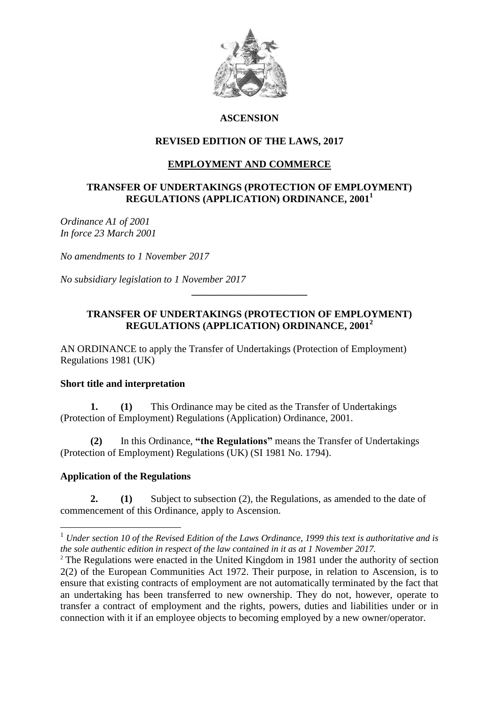

# **ASCENSION**

# **REVISED EDITION OF THE LAWS, 2017**

# **EMPLOYMENT AND COMMERCE**

### **TRANSFER OF UNDERTAKINGS (PROTECTION OF EMPLOYMENT) REGULATIONS (APPLICATION) ORDINANCE, 2001<sup>1</sup>**

*Ordinance A1 of 2001 In force 23 March 2001*

*No amendments to 1 November 2017*

*No subsidiary legislation to 1 November 2017*

### **TRANSFER OF UNDERTAKINGS (PROTECTION OF EMPLOYMENT) REGULATIONS (APPLICATION) ORDINANCE, 2001<sup>2</sup>**

**\_\_\_\_\_\_\_\_\_\_\_\_\_\_\_\_\_\_\_\_\_\_\_**

AN ORDINANCE to apply the Transfer of Undertakings (Protection of Employment) Regulations 1981 (UK)

#### **Short title and interpretation**

**1. (1)** This Ordinance may be cited as the Transfer of Undertakings (Protection of Employment) Regulations (Application) Ordinance, 2001.

**(2)** In this Ordinance, **"the Regulations"** means the Transfer of Undertakings (Protection of Employment) Regulations (UK) (SI 1981 No. 1794).

### **Application of the Regulations**

<u>.</u>

**2. (1)** Subject to subsection (2), the Regulations, as amended to the date of commencement of this Ordinance, apply to Ascension.

<sup>1</sup> *Under section 10 of the Revised Edition of the Laws Ordinance, 1999 this text is authoritative and is the sole authentic edition in respect of the law contained in it as at 1 November 2017.*

<sup>&</sup>lt;sup>2</sup> The Regulations were enacted in the United Kingdom in 1981 under the authority of section 2(2) of the European Communities Act 1972. Their purpose, in relation to Ascension, is to ensure that existing contracts of employment are not automatically terminated by the fact that an undertaking has been transferred to new ownership. They do not, however, operate to transfer a contract of employment and the rights, powers, duties and liabilities under or in connection with it if an employee objects to becoming employed by a new owner/operator.